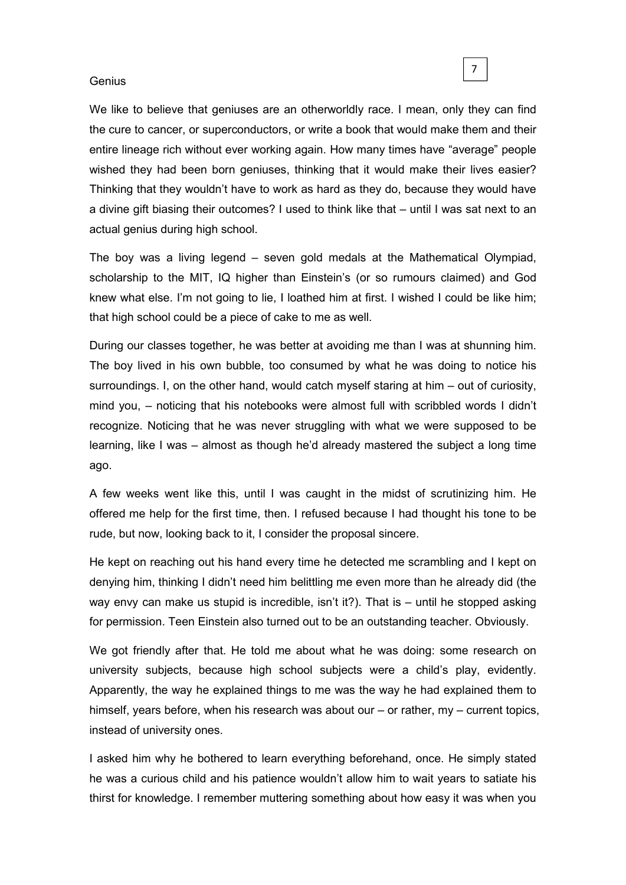## Genius

We like to believe that geniuses are an otherworldly race. I mean, only they can find the cure to cancer, or superconductors, or write a book that would make them and their entire lineage rich without ever working again. How many times have "average" people wished they had been born geniuses, thinking that it would make their lives easier? Thinking that they wouldn't have to work as hard as they do, because they would have a divine gift biasing their outcomes? I used to think like that – until I was sat next to an actual genius during high school.

7

The boy was a living legend – seven gold medals at the Mathematical Olympiad, scholarship to the MIT, IQ higher than Einstein's (or so rumours claimed) and God knew what else. I'm not going to lie, I loathed him at first. I wished I could be like him; that high school could be a piece of cake to me as well.

During our classes together, he was better at avoiding me than I was at shunning him. The boy lived in his own bubble, too consumed by what he was doing to notice his surroundings. I, on the other hand, would catch myself staring at him  $-$  out of curiosity, mind you, – noticing that his notebooks were almost full with scribbled words I didn't recognize. Noticing that he was never struggling with what we were supposed to be learning, like I was – almost as though he'd already mastered the subject a long time ago.

A few weeks went like this, until I was caught in the midst of scrutinizing him. He offered me help for the first time, then. I refused because I had thought his tone to be rude, but now, looking back to it, I consider the proposal sincere.

He kept on reaching out his hand every time he detected me scrambling and I kept on denying him, thinking I didn't need him belittling me even more than he already did (the way envy can make us stupid is incredible, isn't it?). That is  $-$  until he stopped asking for permission. Teen Einstein also turned out to be an outstanding teacher. Obviously.

We got friendly after that. He told me about what he was doing: some research on university subjects, because high school subjects were a child's play, evidently. Apparently, the way he explained things to me was the way he had explained them to himself, years before, when his research was about our  $-$  or rather, my  $-$  current topics, instead of university ones.

I asked him why he bothered to learn everything beforehand, once. He simply stated he was a curious child and his patience wouldn't allow him towait years to satiate his thirst for knowledge. I remember muttering something about how easy it was when you